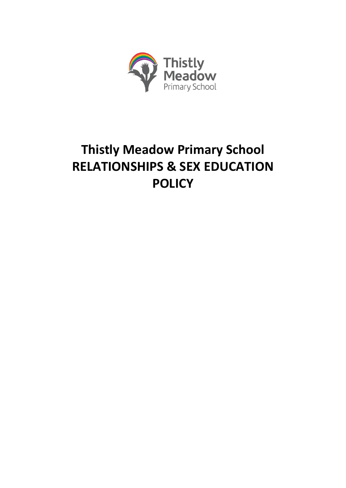

# **Thistly Meadow Primary School RELATIONSHIPS & SEX EDUCATION POLICY**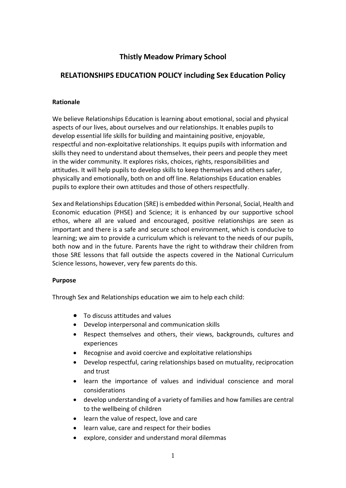# **Thistly Meadow Primary School**

# **RELATIONSHIPS EDUCATION POLICY including Sex Education Policy**

#### **Rationale**

We believe Relationships Education is learning about emotional, social and physical aspects of our lives, about ourselves and our relationships. It enables pupils to develop essential life skills for building and maintaining positive, enjoyable, respectful and non-exploitative relationships. It equips pupils with information and skills they need to understand about themselves, their peers and people they meet in the wider community. It explores risks, choices, rights, responsibilities and attitudes. It will help pupils to develop skills to keep themselves and others safer, physically and emotionally, both on and off line. Relationships Education enables pupils to explore their own attitudes and those of others respectfully.

Sex and Relationships Education (SRE) is embedded within Personal, Social, Health and Economic education (PHSE) and Science; it is enhanced by our supportive school ethos, where all are valued and encouraged, positive relationships are seen as important and there is a safe and secure school environment, which is conducive to learning; we aim to provide a curriculum which is relevant to the needs of our pupils, both now and in the future. Parents have the right to withdraw their children from those SRE lessons that fall outside the aspects covered in the National Curriculum Science lessons, however, very few parents do this.

#### **Purpose**

Through Sex and Relationships education we aim to help each child:

- To discuss attitudes and values
- Develop interpersonal and communication skills
- Respect themselves and others, their views, backgrounds, cultures and experiences
- Recognise and avoid coercive and exploitative relationships
- Develop respectful, caring relationships based on mutuality, reciprocation and trust
- learn the importance of values and individual conscience and moral considerations
- develop understanding of a variety of families and how families are central to the wellbeing of children
- learn the value of respect, love and care
- learn value, care and respect for their bodies
- explore, consider and understand moral dilemmas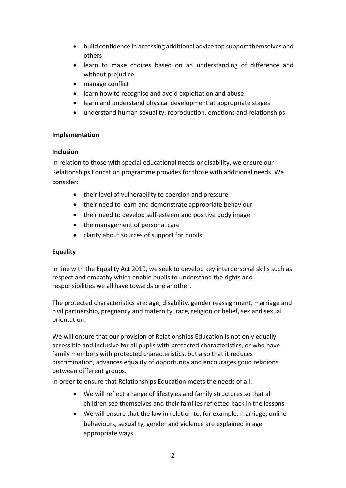- build confidence in accessing additional advice top support themselves and others
- learn to make choices based on an understanding of difference and without prejudice
- manage conflict
- learn how to recognise and avoid exploitation and abuse
- learn and understand physical development at appropriate stages
- understand human sexuality, reproduction, emotions and relationships

### **Implementation**

### **Inclusion**

In relation to those with special educational needs or disability, we ensure our Relationships Education programme provides for those with additional needs. We consider:

- their level of vulnerability to coercion and pressure
- their need to learn and demonstrate appropriate behaviour
- their need to develop self-esteem and positive body image
- the management of personal care
- clarity about sources of support for pupils

## **Equality**

In line with the Equality Act 2010, we seek to develop key interpersonal skills such as respect and empathy which enable pupils to understand the rights and responsibilities we all have towards one another.

The protected characteristics are: age, disability, gender reassignment, marriage and civil partnership, pregnancy and maternity, race, religion or belief, sex and sexual orientation.

We will ensure that our provision of Relationships Education is not only equally accessible and inclusive for all pupils with protected characteristics, or who have family members with protected characteristics, but also that it reduces discrimination, advances equality of opportunity and encourages good relations between different groups.

In order to ensure that Relationships Education meets the needs of all:

- We will reflect a range of lifestyles and family structures so that all children see themselves and their families reflected back in the lessons
- We will ensure that the law in relation to, for example, marriage, online behaviours, sexuality, gender and violence are explained in age appropriate ways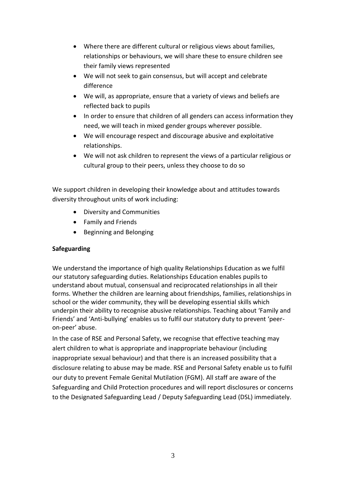- Where there are different cultural or religious views about families, relationships or behaviours, we will share these to ensure children see their family views represented
- We will not seek to gain consensus, but will accept and celebrate difference
- We will, as appropriate, ensure that a variety of views and beliefs are reflected back to pupils
- In order to ensure that children of all genders can access information they need, we will teach in mixed gender groups wherever possible.
- We will encourage respect and discourage abusive and exploitative relationships.
- We will not ask children to represent the views of a particular religious or cultural group to their peers, unless they choose to do so

We support children in developing their knowledge about and attitudes towards diversity throughout units of work including:

- Diversity and Communities
- Family and Friends
- Beginning and Belonging

# **Safeguarding**

We understand the importance of high quality Relationships Education as we fulfil our statutory safeguarding duties. Relationships Education enables pupils to understand about mutual, consensual and reciprocated relationships in all their forms. Whether the children are learning about friendships, families, relationships in school or the wider community, they will be developing essential skills which underpin their ability to recognise abusive relationships. Teaching about 'Family and Friends' and 'Anti-bullying' enables us to fulfil our statutory duty to prevent 'peeron-peer' abuse.

In the case of RSE and Personal Safety, we recognise that effective teaching may alert children to what is appropriate and inappropriate behaviour (including inappropriate sexual behaviour) and that there is an increased possibility that a disclosure relating to abuse may be made. RSE and Personal Safety enable us to fulfil our duty to prevent Female Genital Mutilation (FGM). All staff are aware of the Safeguarding and Child Protection procedures and will report disclosures or concerns to the Designated Safeguarding Lead / Deputy Safeguarding Lead (DSL) immediately.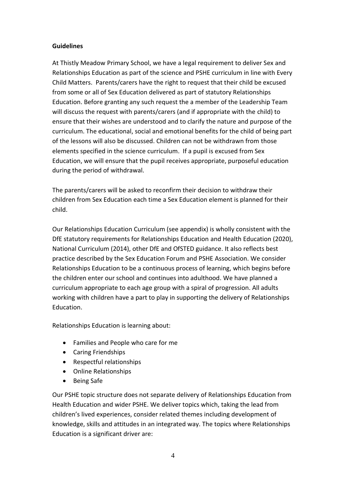### **Guidelines**

At Thistly Meadow Primary School, we have a legal requirement to deliver Sex and Relationships Education as part of the science and PSHE curriculum in line with Every Child Matters. Parents/carers have the right to request that their child be excused from some or all of Sex Education delivered as part of statutory Relationships Education. Before granting any such request the a member of the Leadership Team will discuss the request with parents/carers (and if appropriate with the child) to ensure that their wishes are understood and to clarify the nature and purpose of the curriculum. The educational, social and emotional benefits for the child of being part of the lessons will also be discussed. Children can not be withdrawn from those elements specified in the science curriculum. If a pupil is excused from Sex Education, we will ensure that the pupil receives appropriate, purposeful education during the period of withdrawal.

The parents/carers will be asked to reconfirm their decision to withdraw their children from Sex Education each time a Sex Education element is planned for their child.

Our Relationships Education Curriculum (see appendix) is wholly consistent with the DfE statutory requirements for Relationships Education and Health Education (2020), National Curriculum (2014), other DfE and OfSTED guidance. It also reflects best practice described by the Sex Education Forum and PSHE Association. We consider Relationships Education to be a continuous process of learning, which begins before the children enter our school and continues into adulthood. We have planned a curriculum appropriate to each age group with a spiral of progression. All adults working with children have a part to play in supporting the delivery of Relationships Education.

Relationships Education is learning about:

- Families and People who care for me
- Caring Friendships
- Respectful relationships
- Online Relationships
- Being Safe

Our PSHE topic structure does not separate delivery of Relationships Education from Health Education and wider PSHE. We deliver topics which, taking the lead from children's lived experiences, consider related themes including development of knowledge, skills and attitudes in an integrated way. The topics where Relationships Education is a significant driver are: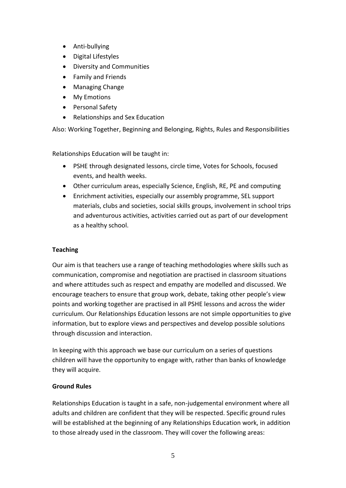- Anti-bullying
- Digital Lifestyles
- Diversity and Communities
- Family and Friends
- Managing Change
- My Emotions
- Personal Safety
- Relationships and Sex Education

Also: Working Together, Beginning and Belonging, Rights, Rules and Responsibilities

Relationships Education will be taught in:

- PSHE through designated lessons, circle time, Votes for Schools, focused events, and health weeks.
- Other curriculum areas, especially Science, English, RE, PE and computing
- Enrichment activities, especially our assembly programme, SEL support materials, clubs and societies, social skills groups, involvement in school trips and adventurous activities, activities carried out as part of our development as a healthy school.

# **Teaching**

Our aim is that teachers use a range of teaching methodologies where skills such as communication, compromise and negotiation are practised in classroom situations and where attitudes such as respect and empathy are modelled and discussed. We encourage teachers to ensure that group work, debate, taking other people's view points and working together are practised in all PSHE lessons and across the wider curriculum. Our Relationships Education lessons are not simple opportunities to give information, but to explore views and perspectives and develop possible solutions through discussion and interaction.

In keeping with this approach we base our curriculum on a series of questions children will have the opportunity to engage with, rather than banks of knowledge they will acquire.

## **Ground Rules**

Relationships Education is taught in a safe, non-judgemental environment where all adults and children are confident that they will be respected. Specific ground rules will be established at the beginning of any Relationships Education work, in addition to those already used in the classroom. They will cover the following areas: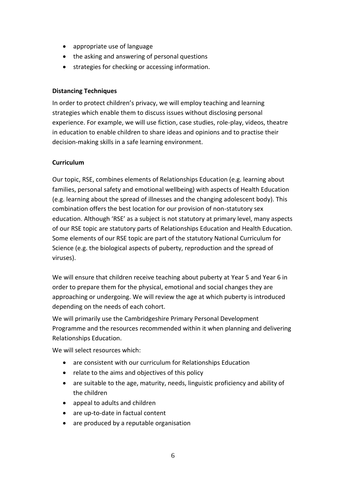- appropriate use of language
- the asking and answering of personal questions
- strategies for checking or accessing information.

## **Distancing Techniques**

In order to protect children's privacy, we will employ teaching and learning strategies which enable them to discuss issues without disclosing personal experience. For example, we will use fiction, case studies, role-play, videos, theatre in education to enable children to share ideas and opinions and to practise their decision-making skills in a safe learning environment.

## **Curriculum**

Our topic, RSE, combines elements of Relationships Education (e.g. learning about families, personal safety and emotional wellbeing) with aspects of Health Education (e.g. learning about the spread of illnesses and the changing adolescent body). This combination offers the best location for our provision of non-statutory sex education. Although 'RSE' as a subject is not statutory at primary level, many aspects of our RSE topic are statutory parts of Relationships Education and Health Education. Some elements of our RSE topic are part of the statutory National Curriculum for Science (e.g. the biological aspects of puberty, reproduction and the spread of viruses).

We will ensure that children receive teaching about puberty at Year 5 and Year 6 in order to prepare them for the physical, emotional and social changes they are approaching or undergoing. We will review the age at which puberty is introduced depending on the needs of each cohort.

We will primarily use the Cambridgeshire Primary Personal Development Programme and the resources recommended within it when planning and delivering Relationships Education.

We will select resources which:

- are consistent with our curriculum for Relationships Education
- relate to the aims and objectives of this policy
- are suitable to the age, maturity, needs, linguistic proficiency and ability of the children
- appeal to adults and children
- are up-to-date in factual content
- are produced by a reputable organisation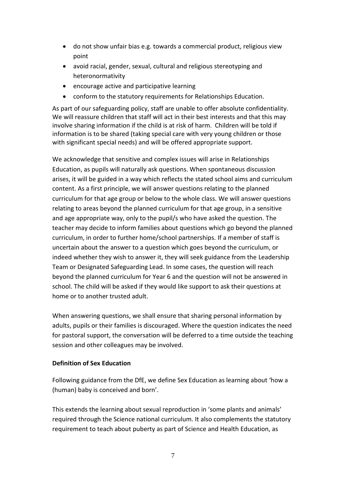- do not show unfair bias e.g. towards a commercial product, religious view point
- avoid racial, gender, sexual, cultural and religious stereotyping and heteronormativity
- encourage active and participative learning
- conform to the statutory requirements for Relationships Education.

As part of our safeguarding policy, staff are unable to offer absolute confidentiality. We will reassure children that staff will act in their best interests and that this may involve sharing information if the child is at risk of harm. Children will be told if information is to be shared (taking special care with very young children or those with significant special needs) and will be offered appropriate support.

We acknowledge that sensitive and complex issues will arise in Relationships Education, as pupils will naturally ask questions. When spontaneous discussion arises, it will be guided in a way which reflects the stated school aims and curriculum content. As a first principle, we will answer questions relating to the planned curriculum for that age group or below to the whole class. We will answer questions relating to areas beyond the planned curriculum for that age group, in a sensitive and age appropriate way, only to the pupil/s who have asked the question. The teacher may decide to inform families about questions which go beyond the planned curriculum, in order to further home/school partnerships. If a member of staff is uncertain about the answer to a question which goes beyond the curriculum, or indeed whether they wish to answer it, they will seek guidance from the Leadership Team or Designated Safeguarding Lead. In some cases, the question will reach beyond the planned curriculum for Year 6 and the question will not be answered in school. The child will be asked if they would like support to ask their questions at home or to another trusted adult.

When answering questions, we shall ensure that sharing personal information by adults, pupils or their families is discouraged. Where the question indicates the need for pastoral support, the conversation will be deferred to a time outside the teaching session and other colleagues may be involved.

## **Definition of Sex Education**

Following guidance from the DfE, we define Sex Education as learning about 'how a (human) baby is conceived and born'.

This extends the learning about sexual reproduction in 'some plants and animals' required through the Science national curriculum. It also complements the statutory requirement to teach about puberty as part of Science and Health Education, as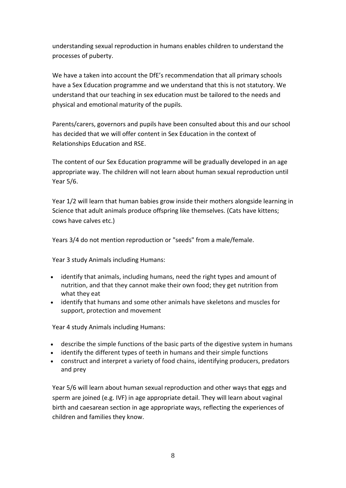understanding sexual reproduction in humans enables children to understand the processes of puberty.

We have a taken into account the DfE's recommendation that all primary schools have a Sex Education programme and we understand that this is not statutory. We understand that our teaching in sex education must be tailored to the needs and physical and emotional maturity of the pupils.

Parents/carers, governors and pupils have been consulted about this and our school has decided that we will offer content in Sex Education in the context of Relationships Education and RSE.

The content of our Sex Education programme will be gradually developed in an age appropriate way. The children will not learn about human sexual reproduction until Year 5/6.

Year 1/2 will learn that human babies grow inside their mothers alongside learning in Science that adult animals produce offspring like themselves. (Cats have kittens; cows have calves etc.)

Years 3/4 do not mention reproduction or "seeds" from a male/female.

Year 3 study Animals including Humans:

- identify that animals, including humans, need the right types and amount of nutrition, and that they cannot make their own food; they get nutrition from what they eat
- identify that humans and some other animals have skeletons and muscles for support, protection and movement

Year 4 study Animals including Humans:

- describe the simple functions of the basic parts of the digestive system in humans
- identify the different types of teeth in humans and their simple functions
- construct and interpret a variety of food chains, identifying producers, predators and prey

Year 5/6 will learn about human sexual reproduction and other ways that eggs and sperm are joined (e.g. IVF) in age appropriate detail. They will learn about vaginal birth and caesarean section in age appropriate ways, reflecting the experiences of children and families they know.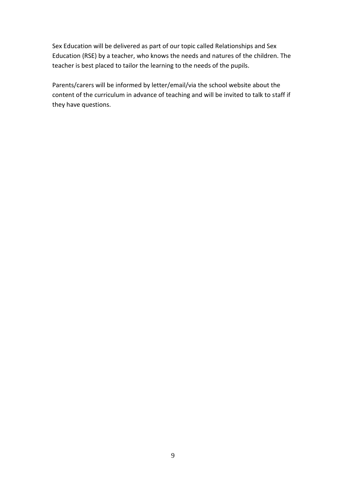Sex Education will be delivered as part of our topic called Relationships and Sex Education (RSE) by a teacher, who knows the needs and natures of the children. The teacher is best placed to tailor the learning to the needs of the pupils.

Parents/carers will be informed by letter/email/via the school website about the content of the curriculum in advance of teaching and will be invited to talk to staff if they have questions.